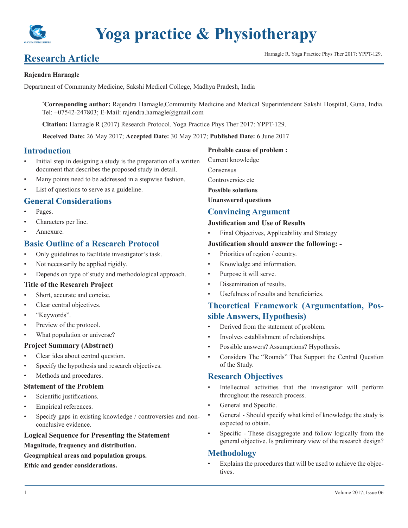

# **Research Article Harnagle R. Yoga Practice Phys Ther 2017: YPPT-129.**

#### **Rajendra Harnagle**

Department of Community Medicine, Sakshi Medical College, Madhya Pradesh, India

**\* Corresponding author:** Rajendra Harnagle,Community Medicine and Medical Superintendent Sakshi Hospital, Guna, India. Tel:  $+07542-247803$ ; E-Mail: rajendra.harnagle@gmail.com

**Citation:** Harnagle R (2017) Research Protocol. Yoga Practice Phys Ther 2017: YPPT-129.

**Received Date:** 26 May 2017; **Accepted Date:** 30 May 2017; **Published Date:** 6 June 2017

## **Introduction**

- Initial step in designing a study is the preparation of a written document that describes the proposed study in detail.
- Many points need to be addressed in a stepwise fashion.
- List of questions to serve as a guideline.

## **General Considerations**

- Pages.
- Characters per line.
- Annexure.

## **Basic Outline of a Research Protocol**

- Only guidelines to facilitate investigator's task.
- Not necessarily be applied rigidly.
- Depends on type of study and methodological approach.

#### **Title of the Research Project**

- Short, accurate and concise.
- Clear central objectives.
- "Keywords".
- Preview of the protocol.
- What population or universe?

#### **Project Summary (Abstract)**

- Clear idea about central question.
- Specify the hypothesis and research objectives.
- Methods and procedures.

#### **Statement of the Problem**

- Scientific justifications.
- Empirical references.
- Specify gaps in existing knowledge / controversies and nonconclusive evidence.

## **Logical Sequence for Presenting the Statement**

**Magnitude, frequency and distribution.**

**Geographical areas and population groups.**

**Ethic and gender considerations.**

#### **Probable cause of problem :**

Current knowledge

Consensus

Controversies etc

**Possible solutions**

**Unanswered questions**

## **Convincing Argument**

#### **Justification and Use of Results**

Final Objectives, Applicability and Strategy

#### **Justification should answer the following: -**

- Priorities of region / country.
- Knowledge and information.
- Purpose it will serve.
- Dissemination of results.
- Usefulness of results and beneficiaries.

## **Theoretical Framework (Argumentation, Possible Answers, Hypothesis)**

- Derived from the statement of problem.
- Involves establishment of relationships.
- Possible answers? Assumptions? Hypothesis.
- Considers The "Rounds" That Support the Central Question of the Study.

## **Research Objectives**

- Intellectual activities that the investigator will perform throughout the research process.
- General and Specific.
- General Should specify what kind of knowledge the study is expected to obtain.
- Specific These disaggregate and follow logically from the general objective. Is preliminary view of the research design?

## **Methodology**

Explains the procedures that will be used to achieve the objectives.